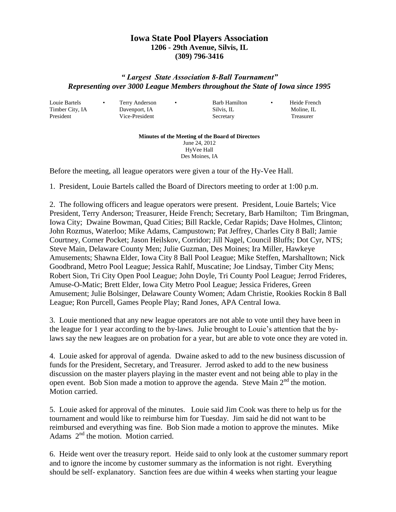## **Iowa State Pool Players Association 1206 - 29th Avenue, Silvis, IL (309) 796-3416**

## *" Largest State Association 8-Ball Tournament" Representing over 3000 League Members throughout the State of Iowa since 1995*

Louie Bartels • Terry Anderson • Barb Hamilton • Heide French

Timber City, IA Davenport, IA Silvis, IL Moline, IL President Vice-President Secretary Treasurer

**Minutes of the Meeting of the Board of Directors** June 24, 2012 HyVee Hall Des Moines, IA

Before the meeting, all league operators were given a tour of the Hy-Vee Hall.

1. President, Louie Bartels called the Board of Directors meeting to order at 1:00 p.m.

2. The following officers and league operators were present. President, Louie Bartels; Vice President, Terry Anderson; Treasurer, Heide French; Secretary, Barb Hamilton; Tim Bringman, Iowa City; Dwaine Bowman, Quad Cities; Bill Rackle, Cedar Rapids; Dave Holmes, Clinton; John Rozmus, Waterloo; Mike Adams, Campustown; Pat Jeffrey, Charles City 8 Ball; Jamie Courtney, Corner Pocket; Jason Heilskov, Corridor; Jill Nagel, Council Bluffs; Dot Cyr, NTS; Steve Main, Delaware County Men; Julie Guzman, Des Moines; Ira Miller, Hawkeye Amusements; Shawna Elder, Iowa City 8 Ball Pool League; Mike Steffen, Marshalltown; Nick Goodbrand, Metro Pool League; Jessica Rahlf, Muscatine; Joe Lindsay, Timber City Mens; Robert Sion, Tri City Open Pool League; John Doyle, Tri County Pool League; Jerrod Frideres, Amuse-O-Matic; Brett Elder, Iowa City Metro Pool League; Jessica Frideres, Green Amusement; Julie Bolsinger, Delaware County Women; Adam Christie, Rookies Rockin 8 Ball League; Ron Purcell, Games People Play; Rand Jones, APA Central Iowa.

3. Louie mentioned that any new league operators are not able to vote until they have been in the league for 1 year according to the by-laws. Julie brought to Louie's attention that the bylaws say the new leagues are on probation for a year, but are able to vote once they are voted in.

4. Louie asked for approval of agenda. Dwaine asked to add to the new business discussion of funds for the President, Secretary, and Treasurer. Jerrod asked to add to the new business discussion on the master players playing in the master event and not being able to play in the open event. Bob Sion made a motion to approve the agenda. Steve Main  $2<sup>nd</sup>$  the motion. Motion carried.

5. Louie asked for approval of the minutes. Louie said Jim Cook was there to help us for the tournament and would like to reimburse him for Tuesday. Jim said he did not want to be reimbursed and everything was fine. Bob Sion made a motion to approve the minutes. Mike Adams  $2<sup>nd</sup>$  the motion. Motion carried.

6. Heide went over the treasury report. Heide said to only look at the customer summary report and to ignore the income by customer summary as the information is not right. Everything should be self- explanatory. Sanction fees are due within 4 weeks when starting your league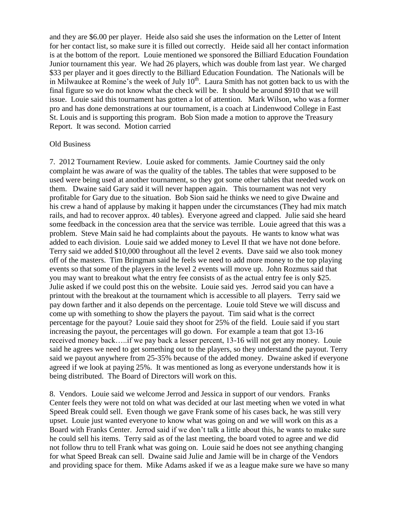and they are \$6.00 per player. Heide also said she uses the information on the Letter of Intent for her contact list, so make sure it is filled out correctly. Heide said all her contact information is at the bottom of the report. Louie mentioned we sponsored the Billiard Education Foundation Junior tournament this year. We had 26 players, which was double from last year. We charged \$33 per player and it goes directly to the Billiard Education Foundation. The Nationals will be in Milwaukee at Romine's the week of July  $10<sup>th</sup>$ . Laura Smith has not gotten back to us with the final figure so we do not know what the check will be. It should be around \$910 that we will issue. Louie said this tournament has gotten a lot of attention. Mark Wilson, who was a former pro and has done demonstrations at our tournament, is a coach at Lindenwood College in East St. Louis and is supporting this program. Bob Sion made a motion to approve the Treasury Report. It was second. Motion carried

## Old Business

7. 2012 Tournament Review. Louie asked for comments. Jamie Courtney said the only complaint he was aware of was the quality of the tables. The tables that were supposed to be used were being used at another tournament, so they got some other tables that needed work on them. Dwaine said Gary said it will never happen again. This tournament was not very profitable for Gary due to the situation. Bob Sion said he thinks we need to give Dwaine and his crew a hand of applause by making it happen under the circumstances (They had mix match rails, and had to recover approx. 40 tables). Everyone agreed and clapped. Julie said she heard some feedback in the concession area that the service was terrible. Louie agreed that this was a problem. Steve Main said he had complaints about the payouts. He wants to know what was added to each division. Louie said we added money to Level II that we have not done before. Terry said we added \$10,000 throughout all the level 2 events. Dave said we also took money off of the masters. Tim Bringman said he feels we need to add more money to the top playing events so that some of the players in the level 2 events will move up. John Rozmus said that you may want to breakout what the entry fee consists of as the actual entry fee is only \$25. Julie asked if we could post this on the website. Louie said yes. Jerrod said you can have a printout with the breakout at the tournament which is accessible to all players. Terry said we pay down farther and it also depends on the percentage. Louie told Steve we will discuss and come up with something to show the players the payout. Tim said what is the correct percentage for the payout? Louie said they shoot for 25% of the field. Louie said if you start increasing the payout, the percentages will go down. For example a team that got 13-16 received money back…..if we pay back a lesser percent, 13-16 will not get any money. Louie said he agrees we need to get something out to the players, so they understand the payout. Terry said we payout anywhere from 25-35% because of the added money. Dwaine asked if everyone agreed if we look at paying 25%. It was mentioned as long as everyone understands how it is being distributed. The Board of Directors will work on this.

8. Vendors. Louie said we welcome Jerrod and Jessica in support of our vendors. Franks Center feels they were not told on what was decided at our last meeting when we voted in what Speed Break could sell. Even though we gave Frank some of his cases back, he was still very upset. Louie just wanted everyone to know what was going on and we will work on this as a Board with Franks Center. Jerrod said if we don't talk a little about this, he wants to make sure he could sell his items. Terry said as of the last meeting, the board voted to agree and we did not follow thru to tell Frank what was going on. Louie said he does not see anything changing for what Speed Break can sell. Dwaine said Julie and Jamie will be in charge of the Vendors and providing space for them. Mike Adams asked if we as a league make sure we have so many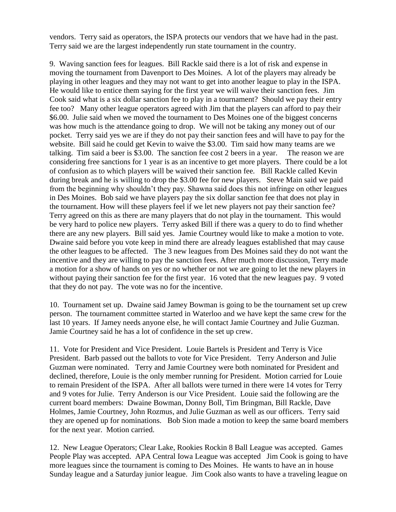vendors. Terry said as operators, the ISPA protects our vendors that we have had in the past. Terry said we are the largest independently run state tournament in the country.

9. Waving sanction fees for leagues. Bill Rackle said there is a lot of risk and expense in moving the tournament from Davenport to Des Moines. A lot of the players may already be playing in other leagues and they may not want to get into another league to play in the ISPA. He would like to entice them saying for the first year we will waive their sanction fees. Jim Cook said what is a six dollar sanction fee to play in a tournament? Should we pay their entry fee too? Many other league operators agreed with Jim that the players can afford to pay their \$6.00. Julie said when we moved the tournament to Des Moines one of the biggest concerns was how much is the attendance going to drop. We will not be taking any money out of our pocket. Terry said yes we are if they do not pay their sanction fees and will have to pay for the website. Bill said he could get Kevin to waive the \$3.00. Tim said how many teams are we talking. Tim said a beer is \$3.00. The sanction fee cost 2 beers in a year. The reason we are considering free sanctions for 1 year is as an incentive to get more players. There could be a lot of confusion as to which players will be waived their sanction fee. Bill Rackle called Kevin during break and he is willing to drop the \$3.00 fee for new players. Steve Main said we paid from the beginning why shouldn't they pay. Shawna said does this not infringe on other leagues in Des Moines. Bob said we have players pay the six dollar sanction fee that does not play in the tournament. How will these players feel if we let new players not pay their sanction fee? Terry agreed on this as there are many players that do not play in the tournament. This would be very hard to police new players. Terry asked Bill if there was a query to do to find whether there are any new players. Bill said yes. Jamie Courtney would like to make a motion to vote. Dwaine said before you vote keep in mind there are already leagues established that may cause the other leagues to be affected. The 3 new leagues from Des Moines said they do not want the incentive and they are willing to pay the sanction fees. After much more discussion, Terry made a motion for a show of hands on yes or no whether or not we are going to let the new players in without paying their sanction fee for the first year. 16 voted that the new leagues pay. 9 voted that they do not pay. The vote was no for the incentive.

10. Tournament set up. Dwaine said Jamey Bowman is going to be the tournament set up crew person. The tournament committee started in Waterloo and we have kept the same crew for the last 10 years. If Jamey needs anyone else, he will contact Jamie Courtney and Julie Guzman. Jamie Courtney said he has a lot of confidence in the set up crew.

11. Vote for President and Vice President. Louie Bartels is President and Terry is Vice President. Barb passed out the ballots to vote for Vice President. Terry Anderson and Julie Guzman were nominated. Terry and Jamie Courtney were both nominated for President and declined, therefore, Louie is the only member running for President. Motion carried for Louie to remain President of the ISPA. After all ballots were turned in there were 14 votes for Terry and 9 votes for Julie. Terry Anderson is our Vice President. Louie said the following are the current board members: Dwaine Bowman, Donny Boll, Tim Bringman, Bill Rackle, Dave Holmes, Jamie Courtney, John Rozmus, and Julie Guzman as well as our officers. Terry said they are opened up for nominations. Bob Sion made a motion to keep the same board members for the next year. Motion carried.

12. New League Operators; Clear Lake, Rookies Rockin 8 Ball League was accepted. Games People Play was accepted. APA Central Iowa League was accepted Jim Cook is going to have more leagues since the tournament is coming to Des Moines. He wants to have an in house Sunday league and a Saturday junior league. Jim Cook also wants to have a traveling league on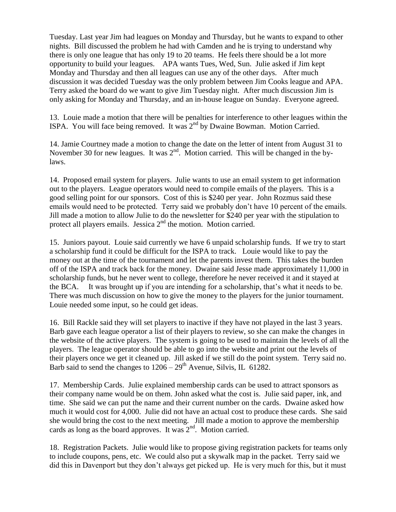Tuesday. Last year Jim had leagues on Monday and Thursday, but he wants to expand to other nights. Bill discussed the problem he had with Camden and he is trying to understand why there is only one league that has only 19 to 20 teams. He feels there should be a lot more opportunity to build your leagues. APA wants Tues, Wed, Sun. Julie asked if Jim kept Monday and Thursday and then all leagues can use any of the other days. After much discussion it was decided Tuesday was the only problem between Jim Cooks league and APA. Terry asked the board do we want to give Jim Tuesday night. After much discussion Jim is only asking for Monday and Thursday, and an in-house league on Sunday. Everyone agreed.

13. Louie made a motion that there will be penalties for interference to other leagues within the ISPA. You will face being removed. It was  $2<sup>nd</sup>$  by Dwaine Bowman. Motion Carried.

14. Jamie Courtney made a motion to change the date on the letter of intent from August 31 to November 30 for new leagues. It was  $2<sup>nd</sup>$ . Motion carried. This will be changed in the bylaws.

14. Proposed email system for players. Julie wants to use an email system to get information out to the players. League operators would need to compile emails of the players. This is a good selling point for our sponsors. Cost of this is \$240 per year. John Rozmus said these emails would need to be protected. Terry said we probably don't have 10 percent of the emails. Jill made a motion to allow Julie to do the newsletter for \$240 per year with the stipulation to protect all players emails. Jessica  $2<sup>nd</sup>$  the motion. Motion carried.

15. Juniors payout. Louie said currently we have 6 unpaid scholarship funds. If we try to start a scholarship fund it could be difficult for the ISPA to track. Louie would like to pay the money out at the time of the tournament and let the parents invest them. This takes the burden off of the ISPA and track back for the money. Dwaine said Jesse made approximately 11,000 in scholarship funds, but he never went to college, therefore he never received it and it stayed at the BCA. It was brought up if you are intending for a scholarship, that's what it needs to be. There was much discussion on how to give the money to the players for the junior tournament. Louie needed some input, so he could get ideas.

16. Bill Rackle said they will set players to inactive if they have not played in the last 3 years. Barb gave each league operator a list of their players to review, so she can make the changes in the website of the active players. The system is going to be used to maintain the levels of all the players. The league operator should be able to go into the website and print out the levels of their players once we get it cleaned up. Jill asked if we still do the point system. Terry said no. Barb said to send the changes to  $1206 - 29$ <sup>th</sup> Avenue, Silvis, IL 61282.

17. Membership Cards. Julie explained membership cards can be used to attract sponsors as their company name would be on them. John asked what the cost is. Julie said paper, ink, and time. She said we can put the name and their current number on the cards. Dwaine asked how much it would cost for 4,000. Julie did not have an actual cost to produce these cards. She said she would bring the cost to the next meeting. Jill made a motion to approve the membership cards as long as the board approves. It was  $2<sup>nd</sup>$ . Motion carried.

18. Registration Packets. Julie would like to propose giving registration packets for teams only to include coupons, pens, etc. We could also put a skywalk map in the packet. Terry said we did this in Davenport but they don't always get picked up. He is very much for this, but it must